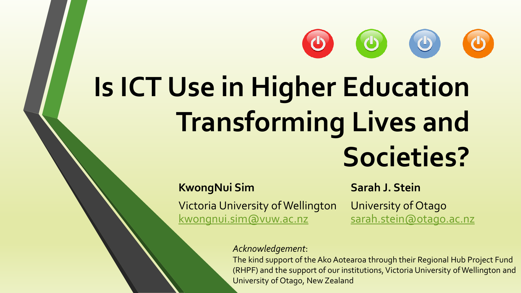# **Is ICT Use in Higher Education Transforming Lives and Societies?**

 $\overline{\mathbf{C}}$ 

#### **KwongNui Sim**

Victoria University of Wellington [kwongnui.sim@vuw.ac.nz](mailto:kwongnui.sim@vuw.ac.nz)

#### **Sarah J. Stein**

 $\begin{pmatrix} 0 \end{pmatrix}$ 

University of Otago [sarah.stein@otago.ac.nz](mailto:ksarah.stein@otago.ac.nz)

#### *Acknowledgement*:

The kind support of the Ako Aotearoa through their Regional Hub Project Fund (RHPF) and the support of our institutions, Victoria University of Wellington and University of Otago, New Zealand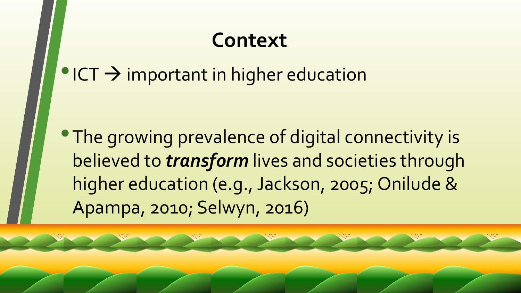### **Context**

### $\bullet$  ICT  $\rightarrow$  important in higher education

**• The growing prevalence of digital connectivity is** believed to *transform* lives and societies through higher education (e.g., Jackson, 2005; Onilude & Apampa, 2010; Selwyn, 2016)

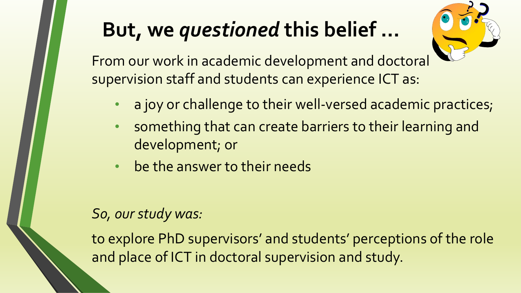## **But, we** *questioned* **this belief …**



From our work in academic development and doctoral supervision staff and students can experience ICT as:

- a joy or challenge to their well-versed academic practices;
- something that can create barriers to their learning and development; or
- be the answer to their needs

#### *So, our study was:*

to explore PhD supervisors' and students' perceptions of the role and place of ICT in doctoral supervision and study.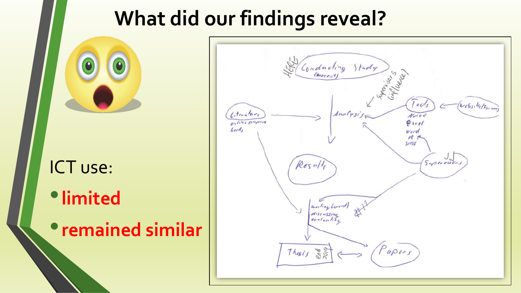### **What did our findings reveal?**



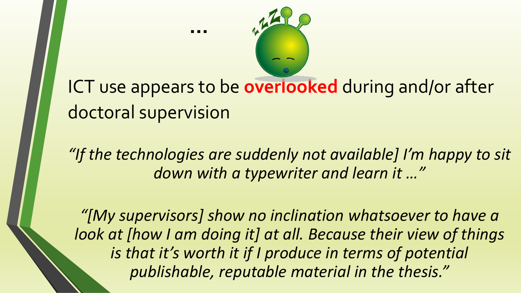

**…** 

*"If the technologies are suddenly not available] I'm happy to sit down with a typewriter and learn it …"*

*"[My supervisors] show no inclination whatsoever to have a look at [how I am doing it] at all. Because their view of things is that it's worth it if I produce in terms of potential publishable, reputable material in the thesis."*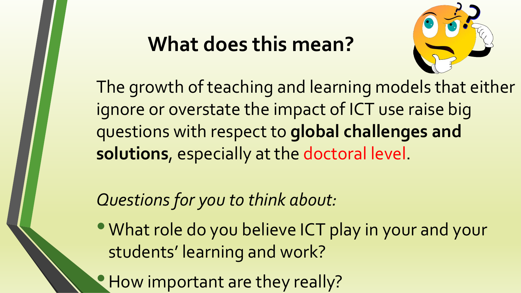### **What does this mean?**



The growth of teaching and learning models that either ignore or overstate the impact of ICT use raise big questions with respect to **global challenges and solutions**, especially at the doctoral level.

*Questions for you to think about:*

• What role do you believe ICT play in your and your students' learning and work?

• How important are they really?